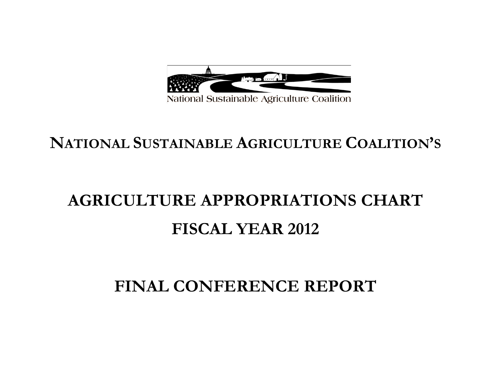

## **NATIONAL SUSTAINABLE AGRICULTURE COALITION'S**

# **AGRICULTURE APPROPRIATIONS CHART FISCAL YEAR 2012**

## **FINAL CONFERENCE REPORT**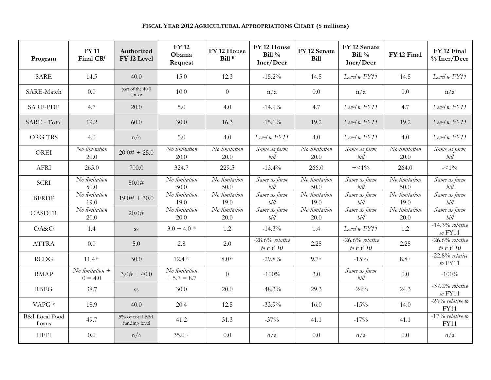| Program                            | <b>FY 11</b><br>Final CRi                 | Authorized<br>FY 12 Level        | <b>FY 12</b><br>Obama<br>Request    | FY 12 House<br>Bill ii | FY 12 House<br>Bill $\%$<br>Incr/Decr | FY 12 Senate<br><b>Bill</b> | FY 12 Senate<br>Bill $\%$<br>Incr/Decr | FY 12 Final           | FY 12 Final<br>$%$ Incr/Decr     |
|------------------------------------|-------------------------------------------|----------------------------------|-------------------------------------|------------------------|---------------------------------------|-----------------------------|----------------------------------------|-----------------------|----------------------------------|
| <b>SARE</b>                        | 14.5                                      | 40.0                             | 15.0                                | 12.3                   | $-15.2%$                              | 14.5                        | Level w FY11                           | 14.5                  | Level w FY11                     |
| SARE-Match                         | 0.0                                       | part of the 40.0<br>above        | 10.0                                | $\overline{0}$         | n/a                                   | 0.0                         | n/a                                    | 0.0                   | n/a                              |
| <b>SARE-PDP</b>                    | 4.7                                       | 20.0                             | 5.0                                 | 4.0                    | $-14.9%$                              | 4.7                         | Level $w$ $FY11$                       | 4.7                   | Level $w$ $FY11$                 |
| SARE - Total                       | 19.2                                      | 60.0                             | 30.0                                | 16.3                   | $-15.1\%$                             | 19.2                        | Level w FY11                           | 19.2                  | Level $w$ $FY11$                 |
| ORG TRS                            | 4.0                                       | n/a                              | 5.0                                 | 4.0                    | Level $w$ $FY11$                      | 4.0                         | Level w FY11                           | 4.0                   | Level w FY11                     |
| OREI                               | No limitation<br>20.0                     | $20.0# + 25.0$                   | No limitation<br>20.0               | No limitation<br>20.0  | Same as farm<br>bill                  | No limitation<br>20.0       | Same as farm<br>bill                   | No limitation<br>20.0 | Same as farm<br>bill             |
| <b>AFRI</b>                        | 265.0                                     | 700.0                            | 324.7                               | 229.5                  | $-13.4%$                              | 266.0                       | $+<1\%$                                | 264.0                 | $-<1\%$                          |
| <b>SCRI</b>                        | No limitation<br>50.0                     | 50.0#                            | No limitation<br>50.0               | No limitation<br>50.0  | Same as farm<br>bill                  | No limitation<br>50.0       | Same as farm<br>bill                   | No limitation<br>50.0 | Same as farm<br>bill             |
| <b>BFRDP</b>                       | No limitation<br>19.0                     | $19.0# + 30.0$                   | $\overline{N}$ o limitation<br>19.0 | No limitation<br>19.0  | Same as farm<br>bill                  | No limitation<br>19.0       | Same as farm<br>bill                   | No limitation<br>19.0 | Same as farm<br>bill             |
| <b>OASDFR</b>                      | No limitation<br>20.0                     | 20.0#                            | $\overline{No}$ limitation<br>20.0  | No limitation<br>20.0  | Same as farm<br>bill                  | No limitation<br>20.0       | Same as farm<br>bill                   | No limitation<br>20.0 | Same as farm<br>bill             |
| OA&O                               | 1.4                                       | SS                               | $3.0 + 4.0$ iii                     | 1.2                    | $-14.3%$                              | 1.4                         | Level w FY11                           | 1.2                   | $-14.3\%$ relative<br>to $FY11$  |
| <b>ATTRA</b>                       | 0.0                                       | 5.0                              | 2.8                                 | 2.0                    | $-28.6%$ relative<br>to $FY$ 10       | 2.25                        | $-26.6\%$ relative<br>to $FY$ 10       | 2.25                  | $-26.6\%$ relative<br>to $FY$ 10 |
| <b>RCDG</b>                        | $11.4^{\rm iv}$                           | 50.0                             | $12.4 \text{ iv}$                   | $8.0^{\rm iv}$         | $-29.8%$                              | 9.7 <sup>iv</sup>           | $-15%$                                 | $8.8^{iv}$            | $-22.8%$ relative<br>to $FY11$   |
| <b>RMAP</b>                        | $\overline{No}$ limitation +<br>$0 = 4.0$ | $3.0# + 40.0$                    | No limitation<br>$+5.7 = 8.7$       | $\theta$               | $-100%$                               | 3.0                         | Same as farm<br>bill                   | 0.0                   | $-100%$                          |
| <b>RBEG</b>                        | 38.7                                      | SS                               | 30.0                                | 20.0                   | $-48.3%$                              | 29.3                        | $-24%$                                 | 24.3                  | $-37.2\%$ relative<br>$to$ FY11  |
| VAPG v                             | 18.9                                      | 40.0                             | 20.4                                | 12.5                   | $-33.9%$                              | 16.0                        | $-15%$                                 | 14.0                  | $-26%$ relative to<br>FY11       |
| <b>B&amp;I</b> Local Food<br>Loans | 49.7                                      | 5% of total B&I<br>funding level | 41.2                                | 31.3                   | $-37\%$                               | 41.1                        | $-17\%$                                | 41.1                  | $-17%$ relative to<br>FY11       |
| <b>HFFI</b>                        | 0.0                                       | n/a                              | 35.0 vi                             | 0.0                    | n/a                                   | 0.0                         | n/a                                    | 0.0                   | n/a                              |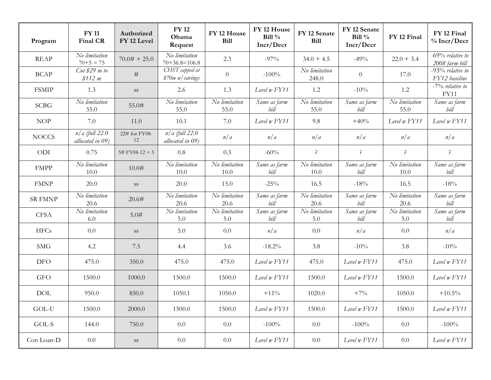| Program        | <b>FY 11</b><br>Final CR             | Authorized<br>FY 12 Level | <b>FY12</b><br>Obama<br>Request      | FY 12 House<br><b>Bill</b> | FY 12 House<br>Bill $\%$<br>Incr/Decr | FY 12 Senate<br><b>Bill</b> | FY 12 Senate<br>Bill $\%$<br>Incr/Decr | FY 12 Final                         | FY 12 Final<br>$%$ Incr/Decr         |
|----------------|--------------------------------------|---------------------------|--------------------------------------|----------------------------|---------------------------------------|-----------------------------|----------------------------------------|-------------------------------------|--------------------------------------|
| <b>REAP</b>    | No limitation<br>$70 + 5 = 75$       | $70.0# + 25.0$            | No limitation<br>$70+36.8=106.8$     | 2.3                        | $-97%$                                | $34.0 + 4.5$                | $-49%$                                 | $22.0 + 3.4$                        | $-69%$ relative to<br>2008 farm bill |
| <b>BCAP</b>    | $Cut$ \$29 m to<br>\$112 m           | $\#$                      | CHST capped at<br>\$70m w/savings    | $\theta$                   | $-100%$                               | No limitation<br>248.0      | $\theta$                               | 17.0                                | $-93%$ relative to<br>FY12 baseline  |
| <b>FSMIP</b>   | 1.3                                  | SS                        | 2.6                                  | 1.3                        | Level $w$ $FY11$                      | 1.2                         | $-10%$                                 | 1.2                                 | $-7\%$ relative to<br>FY11           |
| <b>SCBG</b>    | No limitation<br>55.0                | 55.0#                     | No limitation<br>55.0                | No limitation<br>55.0      | Same as farm<br>bill                  | No limitation<br>55.0       | Same as farm<br>bill                   | No limitation<br>55.0               | Same as farm<br>bill                 |
| <b>NOP</b>     | 7.0                                  | 11.0                      | 10.1                                 | 7.0                        | Level $w$ $FY11$                      | 9.8                         | $+40%$                                 | Level w FY11                        | Level $w$ $FY11$                     |
| <b>NOCCS</b>   | $n/a$ (full 22.0<br>allocated in 09) | 22# for FY08-<br>12       | $n/a$ (full 22.0<br>allocated in 09) | n/a                        | n/a                                   | n/a                         | n/a                                    | n/a                                 | n/a                                  |
| ODI            | 0.75                                 | 5# FY08-12 + 5            | 0.8                                  | 0.3                        | $-60%$                                | ?                           | ?                                      | ?                                   | $\mathcal{L}$                        |
| <b>FMPP</b>    | No limitation<br>10.0                | 10.0#                     | No limitation<br>10.0                | No limitation<br>10.0      | Same as farm<br>bill                  | No limitation<br>10.0       | Same as farm<br>bill                   | No limitation<br>10.0               | Same as farm<br>bill                 |
| <b>FMNP</b>    | 20.0                                 | SS                        | 20.0                                 | 15.0                       | $-25\%$                               | 16.5                        | $-18%$                                 | 16.5                                | $-18%$                               |
| <b>SR FMNP</b> | No limitation<br>20.6                | 20.6#                     | No limitation<br>20.6                | No limitation<br>20.6      | Same as farm<br>bill                  | No limitation<br>20.6       | Same as farm<br>bill                   | $\overline{N}$ o limitation<br>20.6 | Same as farm<br>bill                 |
| <b>CFSA</b>    | No limitation<br>6.0                 | 5.0#                      | No limitation<br>5.0                 | No limitation<br>5.0       | Same as farm<br>bill                  | No limitation<br>5.0        | Same as farm<br>bill                   | No limitation<br>5.0                | Same as farm<br>bill                 |
| <b>HFCs</b>    | 0.0                                  | SS                        | 5.0                                  | 0.0                        | n/a                                   | 0.0                         | n/a                                    | 0.0                                 | n/a                                  |
| <b>SMG</b>     | 4.2                                  | 7.5                       | 4.4                                  | 3.6                        | $-18.2%$                              | 3.8                         | $-10%$                                 | 3.8                                 | $-10%$                               |
| DFO            | 475.0                                | 350.0                     | 475.0                                | 475.0                      | Level w FY11                          | 475.0                       | Level $w$ $FY11$                       | 475.0                               | Level w FY11                         |
| <b>GFO</b>     | 1500.0                               | 1000.0                    | 1500.0                               | 1500.0                     | Level w FY11                          | 1500.0                      | Level $w$ $FY11$                       | 1500.0                              | Level $w$ $FY11$                     |
| <b>DOL</b>     | 950.0                                | 850.0                     | 1050.1                               | 1050.0                     | $+11\%$                               | 1020.0                      | $+7%$                                  | 1050.0                              | $+10.5\%$                            |
| $GOL-U$        | 1500.0                               | 2000.0                    | 1500.0                               | 1500.0                     | Level w FY11                          | 1500.0                      | Level w FY11                           | 1500.0                              | Level w FY11                         |
| GOL-S          | 144.0                                | 750.0                     | 0.0                                  | 0.0                        | $-100%$                               | 0.0                         | $-100%$                                | 0.0                                 | $-100%$                              |
| Con Loan-D     | 0.0                                  | $\rm SS$                  | 0.0                                  | 0.0                        | Level w FY11                          | 0.0                         | Level $w$ $FY11$                       | 0.0                                 | Level w FY11                         |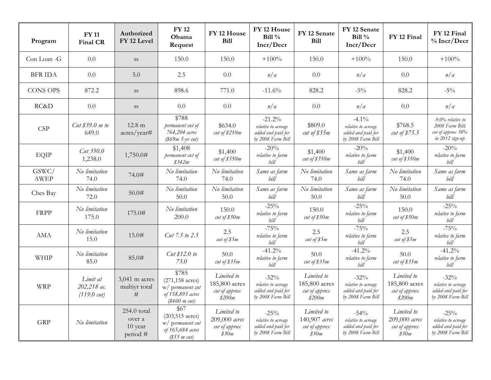| Program              | <b>FY 11</b><br><b>Final CR</b>                  | Authorized<br>FY 12 Level                    | <b>FY12</b><br>Obama<br>Request                                                                | FY <sub>12</sub> House<br><b>Bill</b>                  | FY 12 House<br>Bill $\%$<br>Incr/Decr                                      | FY 12 Senate<br><b>Bill</b>                            | FY 12 Senate<br>Bill $%$<br>Incr/Decr                                      | FY 12 Final                                            | FY 12 Final<br>$%$ Incr/Decr                                                    |
|----------------------|--------------------------------------------------|----------------------------------------------|------------------------------------------------------------------------------------------------|--------------------------------------------------------|----------------------------------------------------------------------------|--------------------------------------------------------|----------------------------------------------------------------------------|--------------------------------------------------------|---------------------------------------------------------------------------------|
| Con Loan -G          | 0.0                                              | SS                                           | 150.0                                                                                          | 150.0                                                  | $+100%$                                                                    | 150.0                                                  | $+100%$                                                                    | 150.0                                                  | $+100%$                                                                         |
| <b>BFR IDA</b>       | 0.0                                              | 5.0                                          | 2.5                                                                                            | 0.0                                                    | n/a                                                                        | 0.0                                                    | n/a                                                                        | 0.0                                                    | n/a                                                                             |
| <b>CONS OPS</b>      | 872.2                                            | <b>SS</b>                                    | 898.6                                                                                          | 771.0                                                  | $-11.6%$                                                                   | 828.2                                                  | $-5\%$                                                                     | 828.2                                                  | $-5\%$                                                                          |
| RC&D                 | 0.0                                              | SS                                           | 0.0                                                                                            | 0.0                                                    | n/a                                                                        | 0.0                                                    | n/a                                                                        | 0.0                                                    | n/a                                                                             |
| <b>CSP</b>           | $Cut$ \$39.0 $m$ to<br>649.0                     | $12.8 \text{ m}$<br>acres/year#              | \$788<br>permanent cut of<br>764,204 acres<br>$($69m 5-yr cut)$                                | \$634.0<br>cut of \$210m                               | $-21.2%$<br>relative to acreage<br>added and paid for<br>by 2008 Farm Bill | \$809.0<br>cut of $$35m$                               | $-4.1\%$<br>relative to acreage<br>added and paid for<br>by 2008 Farm Bill | \$768.5<br>cut of \$75.5                               | $-9.0\%$ relative to<br>2008 Farm Bill:<br>cut of approx 38%<br>in 2012 sign-up |
| EQIP                 | $Cut$ 350.0<br>1,238.0                           | 1,750.0#                                     | \$1,408<br>permanent cut of<br>\$342m                                                          | \$1,400<br>cut of $$350m$                              | $-20%$<br>relative to farm<br>bill                                         | \$1,400<br>cut of \$350m                               | $-20%$<br>relative to farm<br>bill                                         | \$1,400<br>cut of \$350m                               | $-20%$<br>relative to farm<br>bill                                              |
| GSWC/<br><b>AWEP</b> | No limitation<br>74.0                            | 74.0#                                        | No limitation<br>74.0                                                                          | No limitation<br>74.0                                  | Same as farm<br>bill                                                       | No limitation<br>74.0                                  | Same as farm<br>bill                                                       | No limitation<br>74.0                                  | Same as farm<br>bill                                                            |
| Ches Bay             | No limitation<br>72.0                            | 50.0#                                        | No limitation<br>50.0                                                                          | No limitation<br>50.0                                  | Same as farm<br>bill                                                       | No limitation<br>50.0                                  | Same as farm<br>bill                                                       | No limitation<br>50.0                                  | Same as farm<br>bill                                                            |
| <b>FRPP</b>          | No limitation<br>175.0                           | 175.0#                                       | No limitation<br>200.0                                                                         | 150.0<br>cut of $$50m$                                 | $-25%$<br>relative to farm<br>bill                                         | 150.0<br>cut of $$50m$                                 | $-25%$<br>relative to farm<br>bill                                         | 150.0<br>cut of $$50m$                                 | $-25%$<br>relative to farm<br>bill                                              |
| AMA                  | No limitation<br>15.0                            | 15.0#                                        | Cut 7.5 to 2.5                                                                                 | 2.5<br>cut of \$5m                                     | $-75%$<br>relative to farm<br>bill                                         | 2.5<br>cut of \$5m                                     | $-75%$<br>relative to farm<br>bill                                         | 2.5<br>cut of \$5m                                     | $-75%$<br>relative to farm<br>bill                                              |
| WHIP                 | No limitation<br>85.0                            | 85.0#                                        | Cut \$12.0 to<br>73.0                                                                          | 50.0<br>cut of $$35m$                                  | $-41.2%$<br>relative to farm<br>bill                                       | 50.0<br>cut of $$35m$                                  | $-41.2%$<br>relative to farm<br>bill                                       | 50.0<br>cut of $$35m$                                  | $-41.2%$<br>relative to farm<br>bill                                            |
| <b>WRP</b>           | Limit at<br>202,218 ac.<br>$(119.0 \text{ cut})$ | $3,041$ m acres<br>multiyr total<br>#        | \$785<br>$(271, 158 \text{ acres})$<br>w/ permanent cut<br>of 158,895 acres<br>$(\$460$ m cut) | Limited to<br>185,800 acres<br>cut of approx<br>\$200m | $-32\%$<br>relative to acreage<br>added and paid for<br>by 2008 Farm Bill  | Limited to<br>185,800 acres<br>cut of approx<br>\$200m | $-32\%$<br>relative to acreage<br>added and paid for<br>by 2008 Farm Bill  | Limited to<br>185,800 acres<br>cut of approx<br>\$200m | $-32\%$<br>relative to acreage<br>added and paid for<br>by 2008 Farm Bill       |
| <b>GRP</b>           | No limitation                                    | 254.0 total<br>over a<br>10 year<br>period # | \$67<br>$(203, 515 \text{ acres})$<br>w/ permanent cut<br>of 165,684 acres<br>$(\$55$ m cut)   | Limited to<br>209,000 acres<br>cut of approx<br>\$30m  | $-25%$<br>relative to acreage<br>added and paid for<br>by 2008 Farm Bill   | Limited to<br>140,907 acres<br>cut of approx<br>\$50m  | $-54%$<br>relative to acreage<br>added and paid for<br>by 2008 Farm Bill   | Limited to<br>209,000 acres<br>cut of approx<br>\$30m  | $-25%$<br>relative to acreage<br>added and paid for<br>by 2008 Farm Bill        |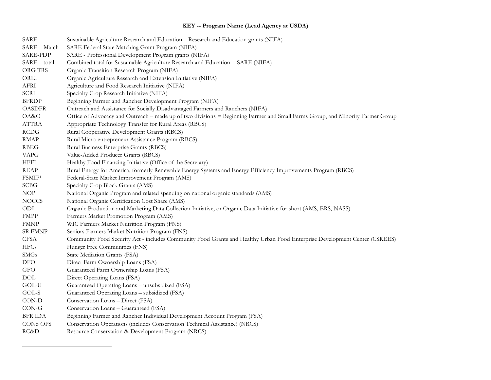### **KEY -- Program Name (Lead Agency at USDA)**

| SARE               | Sustainable Agriculture Research and Education - Research and Education grants (NIFA)                                          |
|--------------------|--------------------------------------------------------------------------------------------------------------------------------|
| SARE - Match       | SARE Federal State Matching Grant Program (NIFA)                                                                               |
| SARE-PDP           | SARE - Professional Development Program grants (NIFA)                                                                          |
| SARE – total       | Combined total for Sustainable Agriculture Research and Education -- SARE (NIFA)                                               |
| ORG TRS            | Organic Transition Research Program (NIFA)                                                                                     |
| OREI               | Organic Agriculture Research and Extension Initiative (NIFA)                                                                   |
| AFRI               | Agriculture and Food Research Initiative (NIFA)                                                                                |
| <b>SCRI</b>        | Specialty Crop Research Initiative (NIFA)                                                                                      |
| <b>BFRDP</b>       | Beginning Farmer and Rancher Development Program (NIFA)                                                                        |
| OASDFR             | Outreach and Assistance for Socially Disadvantaged Farmers and Ranchers (NIFA)                                                 |
| OA&O               | Office of Advocacy and Outreach – made up of two divisions = Beginning Farmer and Small Farms Group, and Minority Farmer Group |
| ATTRA              | Appropriate Technology Transfer for Rural Areas (RBCS)                                                                         |
| <b>RCDG</b>        | Rural Cooperative Development Grants (RBCS)                                                                                    |
| <b>RMAP</b>        | Rural Micro-entrepreneur Assistance Program (RBCS)                                                                             |
| RBEG               | Rural Business Enterprise Grants (RBCS)                                                                                        |
| VAPG               | Value-Added Producer Grants (RBCS)                                                                                             |
| HFFI               | Healthy Food Financing Initiative (Office of the Secretary)                                                                    |
| <b>REAP</b>        | Rural Energy for America, formerly Renewable Energy Systems and Energy Efficiency Improvements Program (RBCS)                  |
| FSMIP <sup>1</sup> | Federal-State Market Improvement Program (AMS)                                                                                 |
| <b>SCBG</b>        | Specialty Crop Block Grants (AMS)                                                                                              |
| NOP                | National Organic Program and related spending on national organic standards (AMS)                                              |
| NOCCS              | National Organic Certification Cost Share (AMS)                                                                                |
| ODI                | Organic Production and Marketing Data Collection Initiative, or Organic Data Initiative for short (AMS, ERS, NASS)             |
| <b>FMPP</b>        | Farmers Market Promotion Program (AMS)                                                                                         |
| FMNP               | WIC Farmers Market Nutrition Program (FNS)                                                                                     |
| SR FMNP            | Seniors Farmers Market Nutrition Program (FNS)                                                                                 |
| CFSA               | Community Food Security Act - includes Community Food Grants and Healthy Urban Food Enterprise Development Center (CSREES)     |
| <b>HFCs</b>        | Hunger Free Communities (FNS)                                                                                                  |
| <b>SMGs</b>        | State Mediation Grants (FSA)                                                                                                   |
| DFO                | Direct Farm Ownership Loans (FSA)                                                                                              |
| GFO                | Guaranteed Farm Ownership Loans (FSA)                                                                                          |
| DOL                | Direct Operating Loans (FSA)                                                                                                   |
| GOL-U              | Guaranteed Operating Loans - unsubsidized (FSA)                                                                                |
| GOL-S              | Guaranteed Operating Loans - subsidized (FSA)                                                                                  |
| CON-D              | Conservation Loans - Direct (FSA)                                                                                              |
| $CON-G$            | Conservation Loans - Guaranteed (FSA)                                                                                          |
| BFR IDA            | Beginning Farmer and Rancher Individual Development Account Program (FSA)                                                      |
| CONS OPS           | Conservation Operations (includes Conservation Technical Assistance) (NRCS)                                                    |
| RC&D               | Resource Conservation & Development Program (NRCS)                                                                             |

<u> 1989 - Johann Stein, mars et al. 1989 - Anna ann an t-Anna ann an t-Anna ann an t-Anna ann an t-Anna ann an t-</u>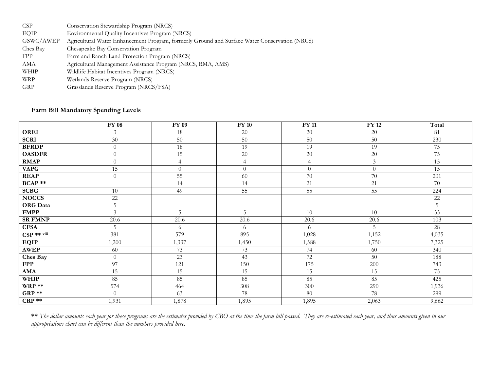| Conservation Stewardship Program (NRCS)                                                       |
|-----------------------------------------------------------------------------------------------|
| Environmental Quality Incentives Program (NRCS)                                               |
| Agricultural Water Enhancement Program, formerly Ground and Surface Water Conservation (NRCS) |
| Chesapeake Bay Conservation Program                                                           |
| Farm and Ranch Land Protection Program (NRCS)                                                 |
| Agricultural Management Assistance Program (NRCS, RMA, AMS)                                   |
| Wildlife Habitat Incentives Program (NRCS)                                                    |
| Wetlands Reserve Program (NRCS)                                                               |
| Grasslands Reserve Program (NRCS/FSA)                                                         |
|                                                                                               |

#### **Farm Bill Mandatory Spending Levels**

|                 | <b>FY 08</b>   | FY 09           | $FY$ 10         | $FY$ 11         | <b>FY 12</b>    | Total  |
|-----------------|----------------|-----------------|-----------------|-----------------|-----------------|--------|
| OREI            | 3              | 18              | 20              | 20              | $20\,$          | 81     |
| <b>SCRI</b>     | 30             | $50\,$          | 50              | $50\,$          | 50              | 230    |
| <b>BFRDP</b>    | $\overline{0}$ | 18              | 19              | 19              | 19              | 75     |
| <b>OASDFR</b>   | $\overline{0}$ | $\overline{15}$ | 20              | $\overline{20}$ | $20\,$          | 75     |
| <b>RMAP</b>     | $\Omega$       | $\overline{4}$  | $\overline{4}$  | $\overline{4}$  | $\mathfrak{Z}$  | 15     |
| <b>VAPG</b>     | 15             | $\theta$        | $\overline{0}$  | $\Omega$        | $\theta$        | 15     |
| <b>REAP</b>     | $\Omega$       | 55              | 60              | 70              | 70              | 201    |
| <b>BCAP</b> **  |                | 14              | 14              | 21              | 21              | 70     |
| <b>SCBG</b>     | 10             | 49              | $\overline{55}$ | $\overline{55}$ | $\overline{55}$ | 224    |
| <b>NOCCS</b>    | $22\,$         |                 |                 |                 |                 | $22\,$ |
| <b>ORG</b> Data | 5              |                 |                 |                 |                 | 5      |
| <b>FMPP</b>     | 3              | 5               | 5               | 10              | 10              | 33     |
| <b>SR FMNP</b>  | 20.6           | $20.6\,$        | 20.6            | 20.6            | $20.6\,$        | 103    |
| <b>CFSA</b>     | 5              | 6               | 6               | 6               | 5               | 28     |
| $CSP$ ** viii   | 381            | 579             | 895             | 1,028           | 1,152           | 4,035  |
| <b>EQIP</b>     | 1,200          | 1,337           | 1,450           | 1,588           | 1,750           | 7,325  |
| <b>AWEP</b>     | 60             | 73              | 73              | 74              | 60              | 340    |
| Ches Bay        | $\overline{0}$ | 23              | 43              | 72              | 50              | 188    |
| <b>FPP</b>      | 97             | 121             | 150             | 175             | 200             | 743    |
| <b>AMA</b>      | 15             | 15              | 15              | 15              | 15              | 75     |
| <b>WHIP</b>     | 85             | 85              | 85              | 85              | 85              | 425    |
| $WRP**$         | 574            | 464             | 308             | 300             | 290             | 1,936  |
| GRP **          | $\Omega$       | 63              | 78              | 80              | 78              | 299    |
| $CRP**$         | 1,931          | 1,878           | 1,895           | 1,895           | 2,063           | 9,662  |

**\*\*** *The dollar amounts each year for these programs are the estimates provided by CBO at the time the farm bill passed. They are re-estimated each year, and thus amounts given in our appropriations chart can be different than the numbers provided here.*